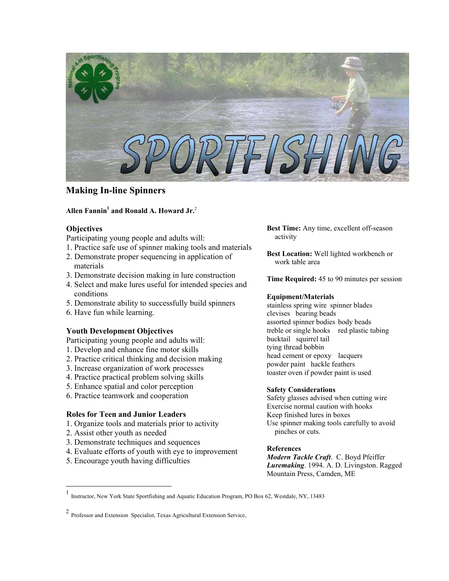

# **Making In-line Spinners**

## **Allen Fannin[1](#page-0-0) and Ronald A. Howard Jr.** [2](#page-0-1)

## **Objectives**

Participating young people and adults will:

- 1. Practice safe use of spinner making tools and materials
- 2. Demonstrate proper sequencing in application of materials
- 3. Demonstrate decision making in lure construction
- 4. Select and make lures useful for intended species and conditions
- 5. Demonstrate ability to successfully build spinners
- 6. Have fun while learning.

## **Youth Development Objectives**

Participating young people and adults will:

- 1. Develop and enhance fine motor skills
- 2. Practice critical thinking and decision making
- 3. Increase organization of work processes
- 4. Practice practical problem solving skills
- 5. Enhance spatial and color perception
- 6. Practice teamwork and cooperation

## **Roles for Teen and Junior Leaders**

- 1. Organize tools and materials prior to activity
- 2. Assist other youth as needed

 $\overline{a}$ 

- 3. Demonstrate techniques and sequences
- 4. Evaluate efforts of youth with eye to improvement
- 5. Encourage youth having difficulties

**Best Time:** Any time, excellent off-season activity

**Best Location:** Well lighted workbench or work table area

**Time Required:** 45 to 90 minutes per session

## **Equipment/Materials**

stainless spring wire spinner blades clevises bearing beads assorted spinner bodies body beads treble or single hooks red plastic tubing bucktail squirrel tail tying thread bobbin head cement or epoxy lacquers powder paint hackle feathers toaster oven if powder paint is used

## **Safety Considerations**

Safety glasses advised when cutting wire Exercise normal caution with hooks Keep finished lures in boxes Use spinner making tools carefully to avoid pinches or cuts.

## **References**

*Modern Tackle Craft*. C. Boyd Pfeiffer *Luremaking*. 1994. A. D. Livingston. Ragged Mountain Press, Camden, ME

<span id="page-0-0"></span><sup>1</sup> Instructor, New York State Sportfishing and Aquatic Education Program, PO Box 62, Westdale, NY, 13483

<span id="page-0-1"></span><sup>2</sup> Professor and Extension Specialist, Texas Agricultural Extension Service,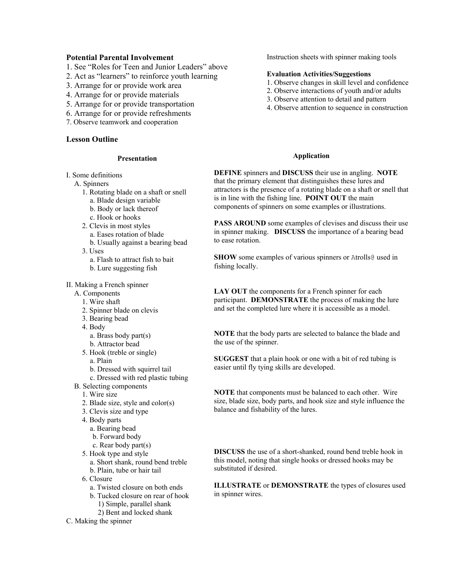## **Potential Parental Involvement**

- 1. See "Roles for Teen and Junior Leaders" above
- 2. Act as "learners" to reinforce youth learning
- 3. Arrange for or provide work area
- 4. Arrange for or provide materials
- 5. Arrange for or provide transportation
- 6. Arrange for or provide refreshments
- 7. Observe teamwork and cooperation

## **Lesson Outline**

#### **Presentation**

- I. Some definitions
	- A. Spinners
		- 1. Rotating blade on a shaft or snell
			- a. Blade design variable
			- b. Body or lack thereof
			- c. Hook or hooks
		- 2. Clevis in most styles
			- a. Eases rotation of blade b. Usually against a bearing bead
		- 3. Uses

a. Flash to attract fish to bait

b. Lure suggesting fish

II. Making a French spinner

- A. Components
	- 1. Wire shaft
	- 2. Spinner blade on clevis
	- 3. Bearing bead
	- 4. Body
		- a. Brass body part(s)
		- b. Attractor bead
	- 5. Hook (treble or single)

a. Plain

- b. Dressed with squirrel tail
- c. Dressed with red plastic tubing
- B. Selecting components
	- 1. Wire size
	- 2. Blade size, style and color(s)
	- 3. Clevis size and type
	- 4. Body parts
		- a. Bearing bead b. Forward body
		- c. Rear body part(s)
	- 5. Hook type and style
		- a. Short shank, round bend treble
		- b. Plain, tube or hair tail
	- 6. Closure
		- a. Twisted closure on both ends
		- b. Tucked closure on rear of hook 1) Simple, parallel shank
			- 2) Bent and locked shank
- C. Making the spinner

Instruction sheets with spinner making tools

## **Evaluation Activities/Suggestions**

- 1. Observe changes in skill level and confidence
- 2. Observe interactions of youth and/or adults
- 3. Observe attention to detail and pattern
- 4. Observe attention to sequence in construction

#### **Application**

**DEFINE** spinners and **DISCUSS** their use in angling. **NOTE** that the primary element that distinguishes these lures and attractors is the presence of a rotating blade on a shaft or snell that is in line with the fishing line. **POINT OUT** the main components of spinners on some examples or illustrations.

**PASS AROUND** some examples of clevises and discuss their use in spinner making. **DISCUSS** the importance of a bearing bead to ease rotation.

**SHOW** some examples of various spinners or Atrolls@ used in fishing locally.

**LAY OUT** the components for a French spinner for each participant. **DEMONSTRATE** the process of making the lure and set the completed lure where it is accessible as a model.

**NOTE** that the body parts are selected to balance the blade and the use of the spinner.

**SUGGEST** that a plain hook or one with a bit of red tubing is easier until fly tying skills are developed.

**NOTE** that components must be balanced to each other. Wire size, blade size, body parts, and hook size and style influence the balance and fishability of the lures.

**DISCUSS** the use of a short-shanked, round bend treble hook in this model, noting that single hooks or dressed hooks may be substituted if desired.

**ILLUSTRATE** or **DEMONSTRATE** the types of closures used in spinner wires.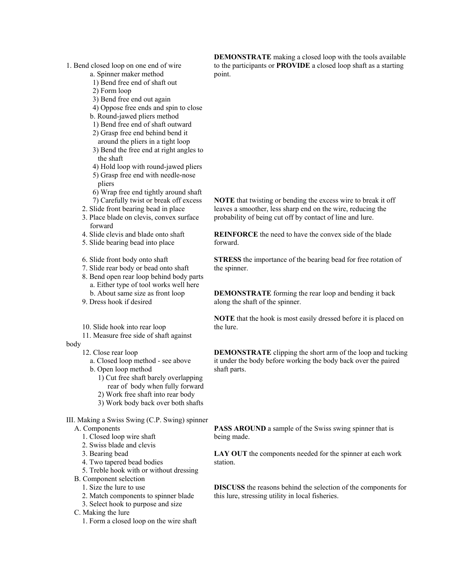- 1. Bend closed loop on one end of wire
	- a. Spinner maker method
	- 1) Bend free end of shaft out
	- 2) Form loop
	- 3) Bend free end out again
	- 4) Oppose free ends and spin to close
	- b. Round-jawed pliers method
	- 1) Bend free end of shaft outward 2) Grasp free end behind bend it
	- around the pliers in a tight loop
	- 3) Bend the free end at right angles to the shaft
	- 4) Hold loop with round-jawed pliers
	- 5) Grasp free end with needle-nose pliers
	- 6) Wrap free end tightly around shaft 7) Carefully twist or break off excess
	- 2. Slide front bearing bead in place
	- 3. Place blade on clevis, convex surface forward
	- 4. Slide clevis and blade onto shaft
	- 5. Slide bearing bead into place
	- 6. Slide front body onto shaft
	- 7. Slide rear body or bead onto shaft
	- 8. Bend open rear loop behind body parts a. Either type of tool works well here b. About same size as front loop
	- 9. Dress hook if desired
	- 10. Slide hook into rear loop
	- 11. Measure free side of shaft against
- body
	- 12. Close rear loop
	- a. Closed loop method see above
	- b. Open loop method
		- 1) Cut free shaft barely overlapping rear of body when fully forward
		- 2) Work free shaft into rear body
		- 3) Work body back over both shafts

III. Making a Swiss Swing (C.P. Swing) spinner

- A. Components
	- 1. Closed loop wire shaft
	- 2. Swiss blade and clevis
	- 3. Bearing bead
	- 4. Two tapered bead bodies
	- 5. Treble hook with or without dressing
- B. Component selection
	- 1. Size the lure to use
	- 2. Match components to spinner blade
	- 3. Select hook to purpose and size
- C. Making the lure
	- 1. Form a closed loop on the wire shaft

**DEMONSTRATE** making a closed loop with the tools available to the participants or **PROVIDE** a closed loop shaft as a starting point.

**NOTE** that twisting or bending the excess wire to break it off leaves a smoother, less sharp end on the wire, reducing the probability of being cut off by contact of line and lure.

**REINFORCE** the need to have the convex side of the blade forward.

**STRESS** the importance of the bearing bead for free rotation of the spinner.

**DEMONSTRATE** forming the rear loop and bending it back along the shaft of the spinner.

**NOTE** that the hook is most easily dressed before it is placed on the lure.

**DEMONSTRATE** clipping the short arm of the loop and tucking it under the body before working the body back over the paired shaft parts.

**PASS AROUND** a sample of the Swiss swing spinner that is being made.

**LAY OUT** the components needed for the spinner at each work station.

**DISCUSS** the reasons behind the selection of the components for this lure, stressing utility in local fisheries.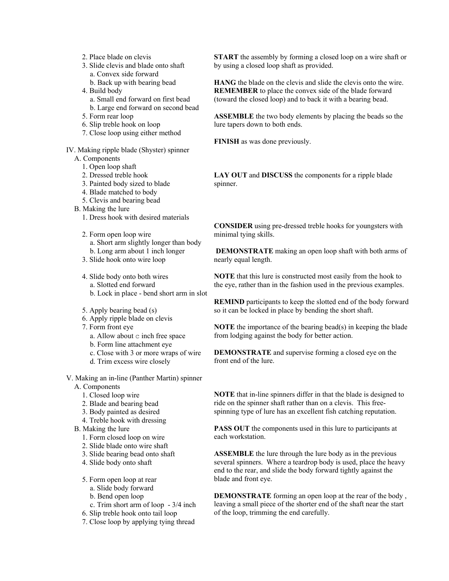- 2. Place blade on clevis
- 3. Slide clevis and blade onto shaft
	- a. Convex side forward
	- b. Back up with bearing bead
- 4. Build body
	- a. Small end forward on first bead
	- b. Large end forward on second bead
- 5. Form rear loop
- 6. Slip treble hook on loop
- 7. Close loop using either method

IV. Making ripple blade (Shyster) spinner

- A. Components
	- 1. Open loop shaft
	- 2. Dressed treble hook
	- 3. Painted body sized to blade
	- 4. Blade matched to body
	- 5. Clevis and bearing bead
- B. Making the lure
	- 1. Dress hook with desired materials
	- 2. Form open loop wire a. Short arm slightly longer than body b. Long arm about 1 inch longer
	- 3. Slide hook onto wire loop
	- 4. Slide body onto both wires a. Slotted end forward b. Lock in place - bend short arm in slot
	- 5. Apply bearing bead (s)
	- 6. Apply ripple blade on clevis
	- 7. Form front eye
		- a. Allow about c inch free space
		- b. Form line attachment eye
		- c. Close with 3 or more wraps of wire
		- d. Trim excess wire closely

V. Making an in-line (Panther Martin) spinner

- A. Components
	- 1. Closed loop wire
	- 2. Blade and bearing bead
	- 3. Body painted as desired
	- 4. Treble hook with dressing
- B. Making the lure
	- 1. Form closed loop on wire
	- 2. Slide blade onto wire shaft
	- 3. Slide bearing bead onto shaft
	- 4. Slide body onto shaft
	- 5. Form open loop at rear
		- a. Slide body forward
		- b. Bend open loop
		- c. Trim short arm of loop 3/4 inch
	- 6. Slip treble hook onto tail loop
	- 7. Close loop by applying tying thread

**START** the assembly by forming a closed loop on a wire shaft or by using a closed loop shaft as provided.

**HANG** the blade on the clevis and slide the clevis onto the wire. **REMEMBER** to place the convex side of the blade forward (toward the closed loop) and to back it with a bearing bead.

**ASSEMBLE** the two body elements by placing the beads so the lure tapers down to both ends.

**FINISH** as was done previously.

**LAY OUT** and **DISCUSS** the components for a ripple blade spinner.

**CONSIDER** using pre-dressed treble hooks for youngsters with minimal tying skills.

**DEMONSTRATE** making an open loop shaft with both arms of nearly equal length.

**NOTE** that this lure is constructed most easily from the hook to the eye, rather than in the fashion used in the previous examples.

**REMIND** participants to keep the slotted end of the body forward so it can be locked in place by bending the short shaft.

**NOTE** the importance of the bearing bead(s) in keeping the blade from lodging against the body for better action.

**DEMONSTRATE** and supervise forming a closed eye on the front end of the lure.

**NOTE** that in-line spinners differ in that the blade is designed to ride on the spinner shaft rather than on a clevis. This freespinning type of lure has an excellent fish catching reputation.

**PASS OUT** the components used in this lure to participants at each workstation.

**ASSEMBLE** the lure through the lure body as in the previous several spinners. Where a teardrop body is used, place the heavy end to the rear, and slide the body forward tightly against the blade and front eye.

**DEMONSTRATE** forming an open loop at the rear of the body , leaving a small piece of the shorter end of the shaft near the start of the loop, trimming the end carefully.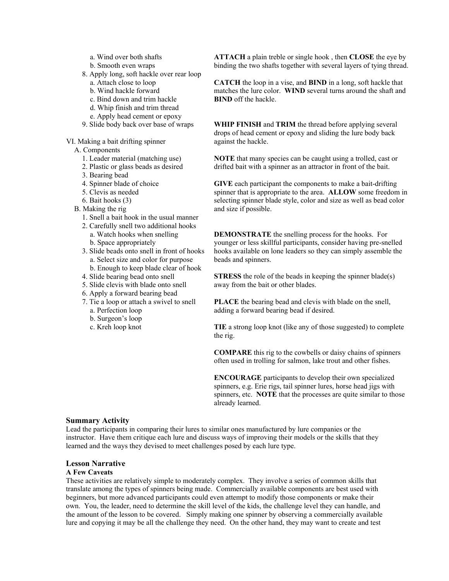- a. Wind over both shafts
- b. Smooth even wraps
- 8. Apply long, soft hackle over rear loop
	- a. Attach close to loop
	- b. Wind hackle forward
	- c. Bind down and trim hackle
	- d. Whip finish and trim thread
	- e. Apply head cement or epoxy
- 9. Slide body back over base of wraps

VI. Making a bait drifting spinner

- A. Components
	- 1. Leader material (matching use)
	- 2. Plastic or glass beads as desired
	- 3. Bearing bead
	- 4. Spinner blade of choice
	- 5. Clevis as needed
	- 6. Bait hooks (3)
- B. Making the rig
	- 1. Snell a bait hook in the usual manner
	- 2. Carefully snell two additional hooks a. Watch hooks when snelling b. Space appropriately
	- 3. Slide beads onto snell in front of hooks a. Select size and color for purpose b. Enough to keep blade clear of hook
	- 4. Slide bearing bead onto snell
	- 5. Slide clevis with blade onto snell
	- 6. Apply a forward bearing bead
	- 7. Tie a loop or attach a swivel to snell a. Perfection loop
		- b. Surgeon's loop
		- c. Kreh loop knot

**ATTACH** a plain treble or single hook , then **CLOSE** the eye by binding the two shafts together with several layers of tying thread.

**CATCH** the loop in a vise, and **BIND** in a long, soft hackle that matches the lure color. **WIND** several turns around the shaft and **BIND** off the hackle.

**WHIP FINISH** and **TRIM** the thread before applying several drops of head cement or epoxy and sliding the lure body back against the hackle.

**NOTE** that many species can be caught using a trolled, cast or drifted bait with a spinner as an attractor in front of the bait.

**GIVE** each participant the components to make a bait-drifting spinner that is appropriate to the area. **ALLOW** some freedom in selecting spinner blade style, color and size as well as bead color and size if possible.

**DEMONSTRATE** the snelling process for the hooks. For younger or less skillful participants, consider having pre-snelled hooks available on lone leaders so they can simply assemble the beads and spinners.

**STRESS** the role of the beads in keeping the spinner blade(s) away from the bait or other blades.

**PLACE** the bearing bead and clevis with blade on the snell, adding a forward bearing bead if desired.

**TIE** a strong loop knot (like any of those suggested) to complete the rig.

**COMPARE** this rig to the cowbells or daisy chains of spinners often used in trolling for salmon, lake trout and other fishes.

**ENCOURAGE** participants to develop their own specialized spinners, e.g. Erie rigs, tail spinner lures, horse head jigs with spinners, etc. **NOTE** that the processes are quite similar to those already learned.

### **Summary Activity**

Lead the participants in comparing their lures to similar ones manufactured by lure companies or the instructor. Have them critique each lure and discuss ways of improving their models or the skills that they learned and the ways they devised to meet challenges posed by each lure type.

#### **Lesson Narrative**

#### **A Few Caveats**

These activities are relatively simple to moderately complex. They involve a series of common skills that translate among the types of spinners being made. Commercially available components are best used with beginners, but more advanced participants could even attempt to modify those components or make their own. You, the leader, need to determine the skill level of the kids, the challenge level they can handle, and the amount of the lesson to be covered. Simply making one spinner by observing a commercially available lure and copying it may be all the challenge they need. On the other hand, they may want to create and test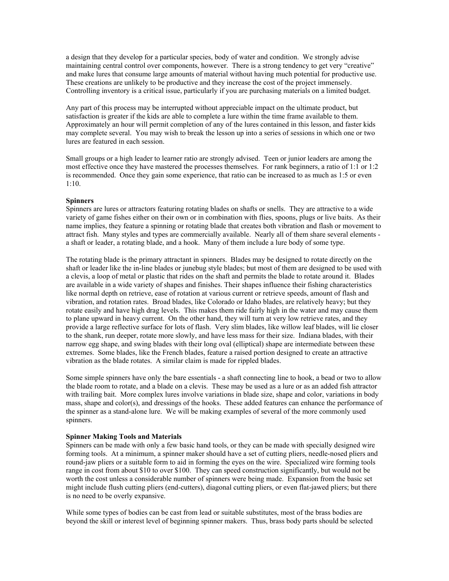a design that they develop for a particular species, body of water and condition. We strongly advise maintaining central control over components, however. There is a strong tendency to get very "creative" and make lures that consume large amounts of material without having much potential for productive use. These creations are unlikely to be productive and they increase the cost of the project immensely. Controlling inventory is a critical issue, particularly if you are purchasing materials on a limited budget.

Any part of this process may be interrupted without appreciable impact on the ultimate product, but satisfaction is greater if the kids are able to complete a lure within the time frame available to them. Approximately an hour will permit completion of any of the lures contained in this lesson, and faster kids may complete several. You may wish to break the lesson up into a series of sessions in which one or two lures are featured in each session.

Small groups or a high leader to learner ratio are strongly advised. Teen or junior leaders are among the most effective once they have mastered the processes themselves. For rank beginners, a ratio of 1:1 or 1:2 is recommended. Once they gain some experience, that ratio can be increased to as much as 1:5 or even 1:10.

## **Spinners**

Spinners are lures or attractors featuring rotating blades on shafts or snells. They are attractive to a wide variety of game fishes either on their own or in combination with flies, spoons, plugs or live baits. As their name implies, they feature a spinning or rotating blade that creates both vibration and flash or movement to attract fish. Many styles and types are commercially available. Nearly all of them share several elements a shaft or leader, a rotating blade, and a hook. Many of them include a lure body of some type.

The rotating blade is the primary attractant in spinners. Blades may be designed to rotate directly on the shaft or leader like the in-line blades or junebug style blades; but most of them are designed to be used with a clevis, a loop of metal or plastic that rides on the shaft and permits the blade to rotate around it. Blades are available in a wide variety of shapes and finishes. Their shapes influence their fishing characteristics like normal depth on retrieve, ease of rotation at various current or retrieve speeds, amount of flash and vibration, and rotation rates. Broad blades, like Colorado or Idaho blades, are relatively heavy; but they rotate easily and have high drag levels. This makes them ride fairly high in the water and may cause them to plane upward in heavy current. On the other hand, they will turn at very low retrieve rates, and they provide a large reflective surface for lots of flash. Very slim blades, like willow leaf blades, will lie closer to the shank, run deeper, rotate more slowly, and have less mass for their size. Indiana blades, with their narrow egg shape, and swing blades with their long oval (elliptical) shape are intermediate between these extremes. Some blades, like the French blades, feature a raised portion designed to create an attractive vibration as the blade rotates. A similar claim is made for rippled blades.

Some simple spinners have only the bare essentials - a shaft connecting line to hook, a bead or two to allow the blade room to rotate, and a blade on a clevis. These may be used as a lure or as an added fish attractor with trailing bait. More complex lures involve variations in blade size, shape and color, variations in body mass, shape and color(s), and dressings of the hooks. These added features can enhance the performance of the spinner as a stand-alone lure. We will be making examples of several of the more commonly used spinners.

#### **Spinner Making Tools and Materials**

Spinners can be made with only a few basic hand tools, or they can be made with specially designed wire forming tools. At a minimum, a spinner maker should have a set of cutting pliers, needle-nosed pliers and round-jaw pliers or a suitable form to aid in forming the eyes on the wire. Specialized wire forming tools range in cost from about \$10 to over \$100. They can speed construction significantly, but would not be worth the cost unless a considerable number of spinners were being made. Expansion from the basic set might include flush cutting pliers (end-cutters), diagonal cutting pliers, or even flat-jawed pliers; but there is no need to be overly expansive.

While some types of bodies can be cast from lead or suitable substitutes, most of the brass bodies are beyond the skill or interest level of beginning spinner makers. Thus, brass body parts should be selected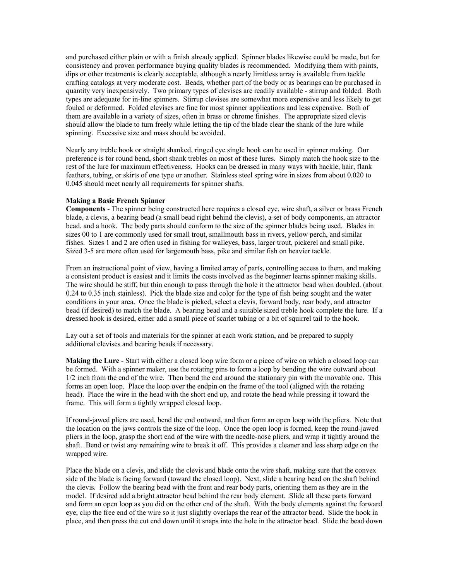and purchased either plain or with a finish already applied. Spinner blades likewise could be made, but for consistency and proven performance buying quality blades is recommended. Modifying them with paints, dips or other treatments is clearly acceptable, although a nearly limitless array is available from tackle crafting catalogs at very moderate cost. Beads, whether part of the body or as bearings can be purchased in quantity very inexpensively. Two primary types of clevises are readily available - stirrup and folded. Both types are adequate for in-line spinners. Stirrup clevises are somewhat more expensive and less likely to get fouled or deformed. Folded clevises are fine for most spinner applications and less expensive. Both of them are available in a variety of sizes, often in brass or chrome finishes. The appropriate sized clevis should allow the blade to turn freely while letting the tip of the blade clear the shank of the lure while spinning. Excessive size and mass should be avoided.

Nearly any treble hook or straight shanked, ringed eye single hook can be used in spinner making. Our preference is for round bend, short shank trebles on most of these lures. Simply match the hook size to the rest of the lure for maximum effectiveness. Hooks can be dressed in many ways with hackle, hair, flank feathers, tubing, or skirts of one type or another. Stainless steel spring wire in sizes from about 0.020 to 0.045 should meet nearly all requirements for spinner shafts.

#### **Making a Basic French Spinner**

**Components** - The spinner being constructed here requires a closed eye, wire shaft, a silver or brass French blade, a clevis, a bearing bead (a small bead right behind the clevis), a set of body components, an attractor bead, and a hook. The body parts should conform to the size of the spinner blades being used. Blades in sizes 00 to 1 are commonly used for small trout, smallmouth bass in rivers, yellow perch, and similar fishes. Sizes 1 and 2 are often used in fishing for walleyes, bass, larger trout, pickerel and small pike. Sized 3-5 are more often used for largemouth bass, pike and similar fish on heavier tackle.

From an instructional point of view, having a limited array of parts, controlling access to them, and making a consistent product is easiest and it limits the costs involved as the beginner learns spinner making skills. The wire should be stiff, but thin enough to pass through the hole it the attractor bead when doubled. (about 0.24 to 0.35 inch stainless). Pick the blade size and color for the type of fish being sought and the water conditions in your area. Once the blade is picked, select a clevis, forward body, rear body, and attractor bead (if desired) to match the blade. A bearing bead and a suitable sized treble hook complete the lure. If a dressed hook is desired, either add a small piece of scarlet tubing or a bit of squirrel tail to the hook.

Lay out a set of tools and materials for the spinner at each work station, and be prepared to supply additional clevises and bearing beads if necessary.

**Making the Lure** - Start with either a closed loop wire form or a piece of wire on which a closed loop can be formed. With a spinner maker, use the rotating pins to form a loop by bending the wire outward about 1/2 inch from the end of the wire. Then bend the end around the stationary pin with the movable one. This forms an open loop. Place the loop over the endpin on the frame of the tool (aligned with the rotating head). Place the wire in the head with the short end up, and rotate the head while pressing it toward the frame. This will form a tightly wrapped closed loop.

If round-jawed pliers are used, bend the end outward, and then form an open loop with the pliers. Note that the location on the jaws controls the size of the loop. Once the open loop is formed, keep the round-jawed pliers in the loop, grasp the short end of the wire with the needle-nose pliers, and wrap it tightly around the shaft. Bend or twist any remaining wire to break it off. This provides a cleaner and less sharp edge on the wrapped wire.

Place the blade on a clevis, and slide the clevis and blade onto the wire shaft, making sure that the convex side of the blade is facing forward (toward the closed loop). Next, slide a bearing bead on the shaft behind the clevis. Follow the bearing bead with the front and rear body parts, orienting them as they are in the model. If desired add a bright attractor bead behind the rear body element. Slide all these parts forward and form an open loop as you did on the other end of the shaft. With the body elements against the forward eye, clip the free end of the wire so it just slightly overlaps the rear of the attractor bead. Slide the hook in place, and then press the cut end down until it snaps into the hole in the attractor bead. Slide the bead down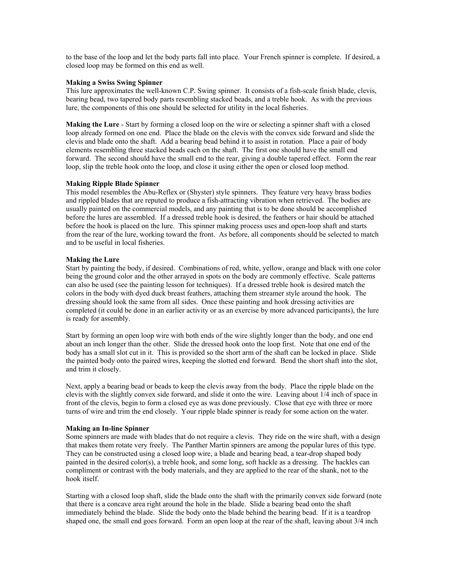to the base of the loop and let the body parts fall into place. Your French spinner is complete. If desired, a closed loop may be formed on this end as well.

## **Making a Swiss Swing Spinner**

This lure approximates the well-known C.P. Swing spinner. It consists of a fish-scale finish blade, clevis, bearing bead, two tapered body parts resembling stacked beads, and a treble hook. As with the previous lure, the components of this one should be selected for utility in the local fisheries.

**Making the Lure** - Start by forming a closed loop on the wire or selecting a spinner shaft with a closed loop already formed on one end. Place the blade on the clevis with the convex side forward and slide the clevis and blade onto the shaft. Add a bearing bead behind it to assist in rotation. Place a pair of body elements resembling three stacked beads each on the shaft. The first one should have the small end forward. The second should have the small end to the rear, giving a double tapered effect. Form the rear loop, slip the treble hook onto the loop, and close it using either the open or closed loop method.

## **Making Ripple Blade Spinner**

This model resembles the Abu-Reflex or (Shyster) style spinners. They feature very heavy brass bodies and rippled blades that are reputed to produce a fish-attracting vibration when retrieved. The bodies are usually painted on the commercial models, and any painting that is to be done should be accomplished before the lures are assembled. If a dressed treble hook is desired, the feathers or hair should be attached before the hook is placed on the lure. This spinner making process uses and open-loop shaft and starts from the rear of the lure, working toward the front. As before, all components should be selected to match and to be useful in local fisheries.

## **Making the Lure**

Start by painting the body, if desired. Combinations of red, white, yellow, orange and black with one color being the ground color and the other arrayed in spots on the body are commonly effective. Scale patterns can also be used (see the painting lesson for techniques). If a dressed treble hook is desired match the colors in the body with dyed duck breast feathers, attaching them streamer style around the hook. The dressing should look the same from all sides. Once these painting and hook dressing activities are completed (it could be done in an earlier activity or as an exercise by more advanced participants), the lure is ready for assembly.

Start by forming an open loop wire with both ends of the wire slightly longer than the body, and one end about an inch longer than the other. Slide the dressed hook onto the loop first. Note that one end of the body has a small slot cut in it. This is provided so the short arm of the shaft can be locked in place. Slide the painted body onto the paired wires, keeping the slotted end forward. Bend the short shaft into the slot, and trim it closely.

Next, apply a bearing bead or beads to keep the clevis away from the body. Place the ripple blade on the clevis with the slightly convex side forward, and slide it onto the wire. Leaving about 1/4 inch of space in front of the clevis, begin to form a closed eye as was done previously. Close that eye with three or more turns of wire and trim the end closely. Your ripple blade spinner is ready for some action on the water.

#### **Making an In-line Spinner**

Some spinners are made with blades that do not require a clevis. They ride on the wire shaft, with a design that makes them rotate very freely. The Panther Martin spinners are among the popular lures of this type. They can be constructed using a closed loop wire, a blade and bearing bead, a tear-drop shaped body painted in the desired color(s), a treble hook, and some long, soft hackle as a dressing. The hackles can compliment or contrast with the body materials, and they are applied to the rear of the shank, not to the hook itself.

Starting with a closed loop shaft, slide the blade onto the shaft with the primarily convex side forward (note that there is a concave area right around the hole in the blade. Slide a bearing bead onto the shaft immediately behind the blade. Slide the body onto the blade behind the bearing bead. If it is a teardrop shaped one, the small end goes forward. Form an open loop at the rear of the shaft, leaving about 3/4 inch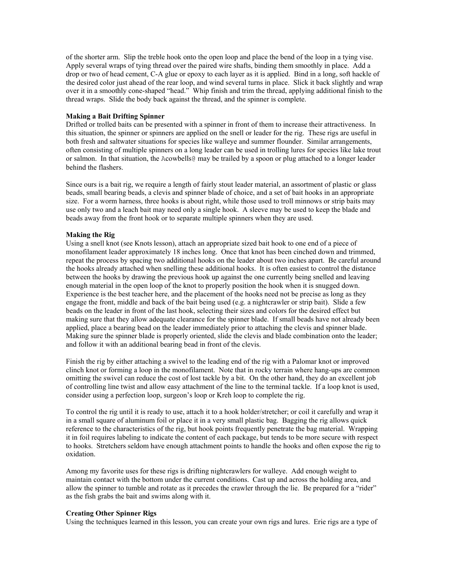of the shorter arm. Slip the treble hook onto the open loop and place the bend of the loop in a tying vise. Apply several wraps of tying thread over the paired wire shafts, binding them smoothly in place. Add a drop or two of head cement, C-A glue or epoxy to each layer as it is applied. Bind in a long, soft hackle of the desired color just ahead of the rear loop, and wind several turns in place. Slick it back slightly and wrap over it in a smoothly cone-shaped "head." Whip finish and trim the thread, applying additional finish to the thread wraps. Slide the body back against the thread, and the spinner is complete.

#### **Making a Bait Drifting Spinner**

Drifted or trolled baits can be presented with a spinner in front of them to increase their attractiveness. In this situation, the spinner or spinners are applied on the snell or leader for the rig. These rigs are useful in both fresh and saltwater situations for species like walleye and summer flounder. Similar arrangements, often consisting of multiple spinners on a long leader can be used in trolling lures for species like lake trout or salmon. In that situation, the Acowbells@ may be trailed by a spoon or plug attached to a longer leader behind the flashers.

Since ours is a bait rig, we require a length of fairly stout leader material, an assortment of plastic or glass beads, small bearing beads, a clevis and spinner blade of choice, and a set of bait hooks in an appropriate size. For a worm harness, three hooks is about right, while those used to troll minnows or strip baits may use only two and a leach bait may need only a single hook. A sleeve may be used to keep the blade and beads away from the front hook or to separate multiple spinners when they are used.

## **Making the Rig**

Using a snell knot (see Knots lesson), attach an appropriate sized bait hook to one end of a piece of monofilament leader approximately 18 inches long. Once that knot has been cinched down and trimmed, repeat the process by spacing two additional hooks on the leader about two inches apart. Be careful around the hooks already attached when snelling these additional hooks. It is often easiest to control the distance between the hooks by drawing the previous hook up against the one currently being snelled and leaving enough material in the open loop of the knot to properly position the hook when it is snugged down. Experience is the best teacher here, and the placement of the hooks need not be precise as long as they engage the front, middle and back of the bait being used (e.g. a nightcrawler or strip bait). Slide a few beads on the leader in front of the last hook, selecting their sizes and colors for the desired effect but making sure that they allow adequate clearance for the spinner blade. If small beads have not already been applied, place a bearing bead on the leader immediately prior to attaching the clevis and spinner blade. Making sure the spinner blade is properly oriented, slide the clevis and blade combination onto the leader; and follow it with an additional bearing bead in front of the clevis.

Finish the rig by either attaching a swivel to the leading end of the rig with a Palomar knot or improved clinch knot or forming a loop in the monofilament. Note that in rocky terrain where hang-ups are common omitting the swivel can reduce the cost of lost tackle by a bit. On the other hand, they do an excellent job of controlling line twist and allow easy attachment of the line to the terminal tackle. If a loop knot is used, consider using a perfection loop, surgeon's loop or Kreh loop to complete the rig.

To control the rig until it is ready to use, attach it to a hook holder/stretcher; or coil it carefully and wrap it in a small square of aluminum foil or place it in a very small plastic bag. Bagging the rig allows quick reference to the characteristics of the rig, but hook points frequently penetrate the bag material. Wrapping it in foil requires labeling to indicate the content of each package, but tends to be more secure with respect to hooks. Stretchers seldom have enough attachment points to handle the hooks and often expose the rig to oxidation.

Among my favorite uses for these rigs is drifting nightcrawlers for walleye. Add enough weight to maintain contact with the bottom under the current conditions. Cast up and across the holding area, and allow the spinner to tumble and rotate as it precedes the crawler through the lie. Be prepared for a "rider" as the fish grabs the bait and swims along with it.

#### **Creating Other Spinner Rigs**

Using the techniques learned in this lesson, you can create your own rigs and lures. Erie rigs are a type of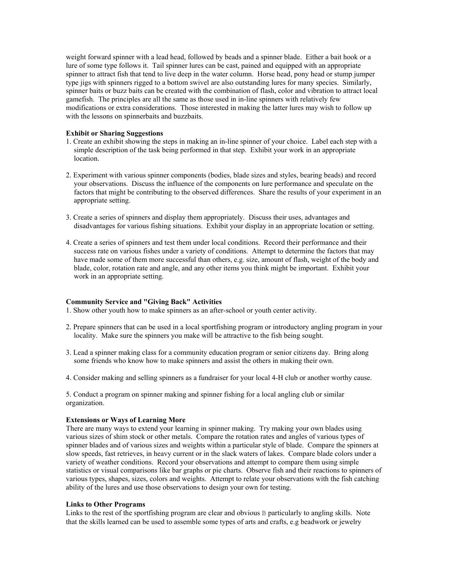weight forward spinner with a lead head, followed by beads and a spinner blade. Either a bait hook or a lure of some type follows it. Tail spinner lures can be cast, pained and equipped with an appropriate spinner to attract fish that tend to live deep in the water column. Horse head, pony head or stump jumper type jigs with spinners rigged to a bottom swivel are also outstanding lures for many species. Similarly, spinner baits or buzz baits can be created with the combination of flash, color and vibration to attract local gamefish. The principles are all the same as those used in in-line spinners with relatively few modifications or extra considerations. Those interested in making the latter lures may wish to follow up with the lessons on spinnerbaits and buzzbaits.

## **Exhibit or Sharing Suggestions**

- 1. Create an exhibit showing the steps in making an in-line spinner of your choice. Label each step with a simple description of the task being performed in that step. Exhibit your work in an appropriate location.
- 2. Experiment with various spinner components (bodies, blade sizes and styles, bearing beads) and record your observations. Discuss the influence of the components on lure performance and speculate on the factors that might be contributing to the observed differences. Share the results of your experiment in an appropriate setting.
- 3. Create a series of spinners and display them appropriately. Discuss their uses, advantages and disadvantages for various fishing situations. Exhibit your display in an appropriate location or setting.
- 4. Create a series of spinners and test them under local conditions. Record their performance and their success rate on various fishes under a variety of conditions. Attempt to determine the factors that may have made some of them more successful than others, e.g. size, amount of flash, weight of the body and blade, color, rotation rate and angle, and any other items you think might be important. Exhibit your work in an appropriate setting.

#### **Community Service and "Giving Back" Activities**

1. Show other youth how to make spinners as an after-school or youth center activity.

- 2. Prepare spinners that can be used in a local sportfishing program or introductory angling program in your locality. Make sure the spinners you make will be attractive to the fish being sought.
- 3. Lead a spinner making class for a community education program or senior citizens day. Bring along some friends who know how to make spinners and assist the others in making their own.
- 4. Consider making and selling spinners as a fundraiser for your local 4-H club or another worthy cause.

5. Conduct a program on spinner making and spinner fishing for a local angling club or similar organization.

#### **Extensions or Ways of Learning More**

There are many ways to extend your learning in spinner making. Try making your own blades using various sizes of shim stock or other metals. Compare the rotation rates and angles of various types of spinner blades and of various sizes and weights within a particular style of blade. Compare the spinners at slow speeds, fast retrieves, in heavy current or in the slack waters of lakes. Compare blade colors under a variety of weather conditions. Record your observations and attempt to compare them using simple statistics or visual comparisons like bar graphs or pie charts. Observe fish and their reactions to spinners of various types, shapes, sizes, colors and weights. Attempt to relate your observations with the fish catching ability of the lures and use those observations to design your own for testing.

## **Links to Other Programs**

Links to the rest of the sportfishing program are clear and obvious B particularly to angling skills. Note that the skills learned can be used to assemble some types of arts and crafts, e.g beadwork or jewelry